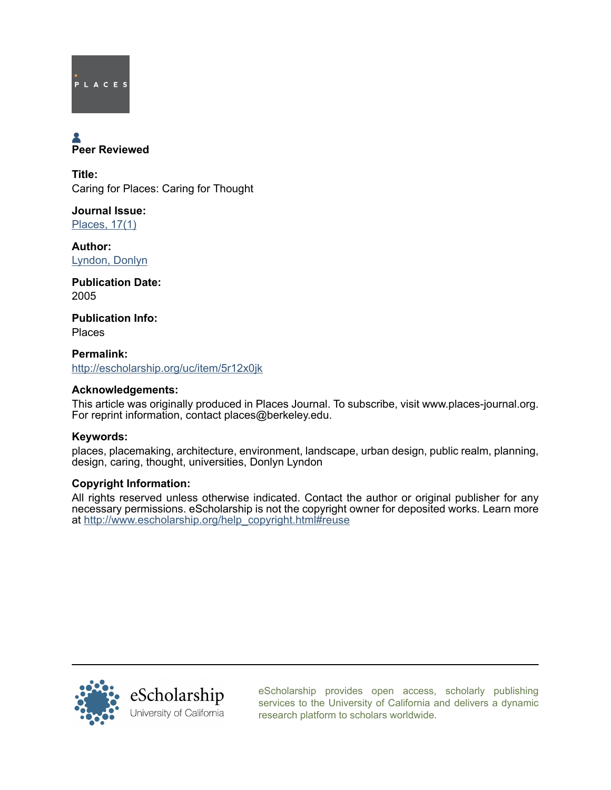

# Peer Reviewed

Title: Caring for Places: Caring for Thought

Journal Issue: [Places, 17\(1\)](http://escholarship.org/uc/ced_places?volume=17;issue=1)

Author: [Lyndon, Donlyn](http://escholarship.org/uc/search?creator=Lyndon%2C%20Donlyn)

Publication Date: 2005

Publication Info: Places

Permalink: <http://escholarship.org/uc/item/5r12x0jk>

#### Acknowledgements:

This article was originally produced in Places Journal. To subscribe, visit www.places-journal.org. For reprint information, contact places@berkeley.edu.

### Keywords:

places, placemaking, architecture, environment, landscape, urban design, public realm, planning, design, caring, thought, universities, Donlyn Lyndon

#### Copyright Information:

All rights reserved unless otherwise indicated. Contact the author or original publisher for any necessary permissions. eScholarship is not the copyright owner for deposited works. Learn more at [http://www.escholarship.org/help\\_copyright.html#reuse](http://www.escholarship.org/help_copyright.html#reuse)



[eScholarship provides open access, scholarly publishing](http://escholarship.org) [services to the University of California and delivers a dynamic](http://escholarship.org) [research platform to scholars worldwide.](http://escholarship.org)